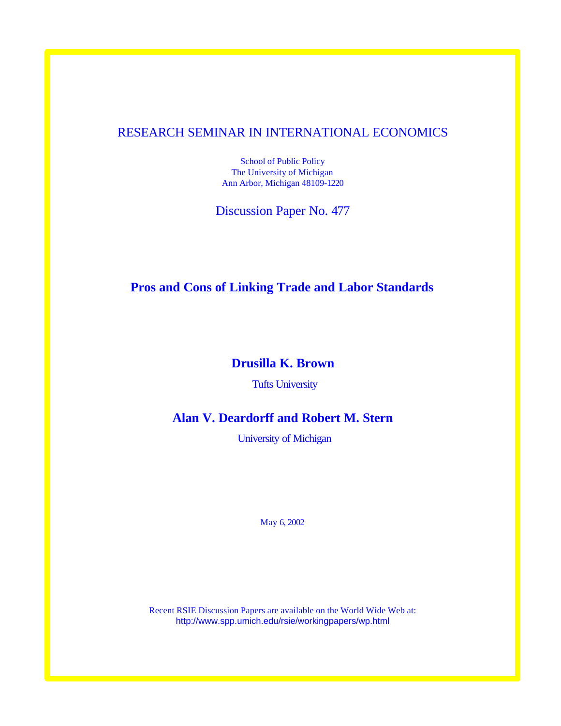# RESEARCH SEMINAR IN INTERNATIONAL ECONOMICS

School of Public Policy The University of Michigan Ann Arbor, Michigan 48109-1220

Discussion Paper No. 477

# **Pros and Cons of Linking Trade and Labor Standards**

# **Drusilla K. Brown**

Tufts University

# **Alan V. Deardorff and Robert M. Stern**

University of Michigan

May 6, 2002

Recent RSIE Discussion Papers are available on the World Wide Web at: http://www.spp.umich.edu/rsie/workingpapers/wp.html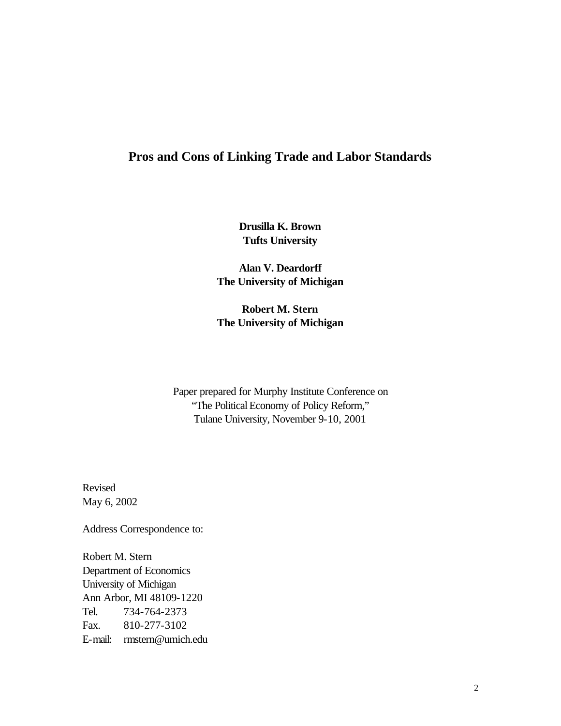# **Pros and Cons of Linking Trade and Labor Standards**

**Drusilla K. Brown Tufts University**

**Alan V. Deardorff The University of Michigan**

**Robert M. Stern The University of Michigan**

Paper prepared for Murphy Institute Conference on "The Political Economy of Policy Reform," Tulane University, November 9-10, 2001

Revised May 6, 2002

Address Correspondence to:

Robert M. Stern Department of Economics University of Michigan Ann Arbor, MI 48109-1220 Tel. 734-764-2373 Fax. 810-277-3102 E-mail: rmstern@umich.edu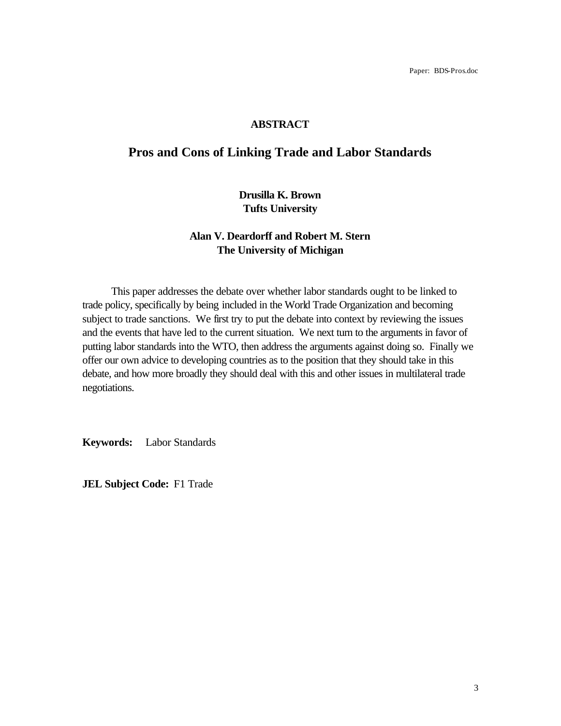### **ABSTRACT**

# **Pros and Cons of Linking Trade and Labor Standards**

## **Drusilla K. Brown Tufts University**

## **Alan V. Deardorff and Robert M. Stern The University of Michigan**

This paper addresses the debate over whether labor standards ought to be linked to trade policy, specifically by being included in the World Trade Organization and becoming subject to trade sanctions. We first try to put the debate into context by reviewing the issues and the events that have led to the current situation. We next turn to the arguments in favor of putting labor standards into the WTO, then address the arguments against doing so. Finally we offer our own advice to developing countries as to the position that they should take in this debate, and how more broadly they should deal with this and other issues in multilateral trade negotiations.

**Keywords:** Labor Standards

**JEL Subject Code:** F1 Trade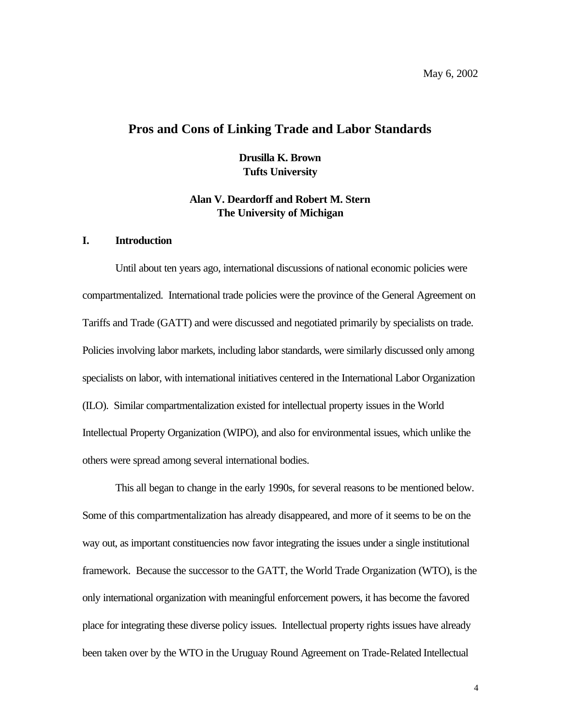#### May 6, 2002

### **Pros and Cons of Linking Trade and Labor Standards**

**Drusilla K. Brown Tufts University**

## **Alan V. Deardorff and Robert M. Stern The University of Michigan**

### **I. Introduction**

Until about ten years ago, international discussions of national economic policies were compartmentalized. International trade policies were the province of the General Agreement on Tariffs and Trade (GATT) and were discussed and negotiated primarily by specialists on trade. Policies involving labor markets, including labor standards, were similarly discussed only among specialists on labor, with international initiatives centered in the International Labor Organization (ILO). Similar compartmentalization existed for intellectual property issues in the World Intellectual Property Organization (WIPO), and also for environmental issues, which unlike the others were spread among several international bodies.

This all began to change in the early 1990s, for several reasons to be mentioned below. Some of this compartmentalization has already disappeared, and more of it seems to be on the way out, as important constituencies now favor integrating the issues under a single institutional framework. Because the successor to the GATT, the World Trade Organization (WTO), is the only international organization with meaningful enforcement powers, it has become the favored place for integrating these diverse policy issues. Intellectual property rights issues have already been taken over by the WTO in the Uruguay Round Agreement on Trade-Related Intellectual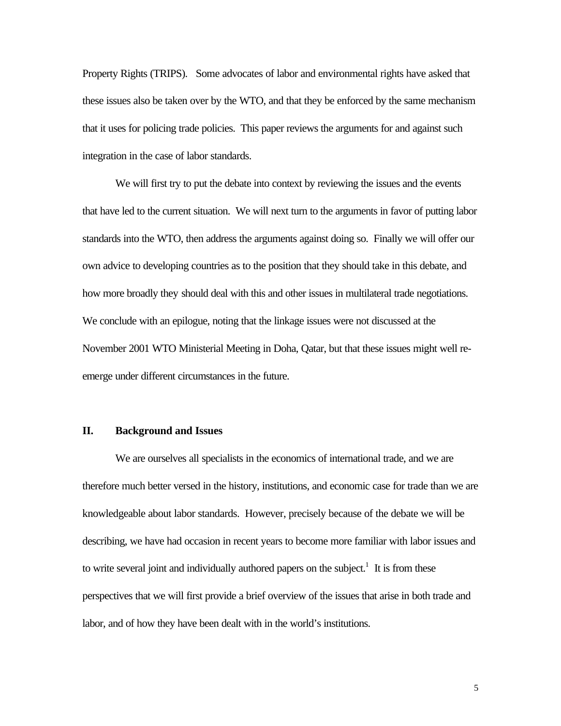Property Rights (TRIPS). Some advocates of labor and environmental rights have asked that these issues also be taken over by the WTO, and that they be enforced by the same mechanism that it uses for policing trade policies. This paper reviews the arguments for and against such integration in the case of labor standards.

We will first try to put the debate into context by reviewing the issues and the events that have led to the current situation. We will next turn to the arguments in favor of putting labor standards into the WTO, then address the arguments against doing so. Finally we will offer our own advice to developing countries as to the position that they should take in this debate, and how more broadly they should deal with this and other issues in multilateral trade negotiations. We conclude with an epilogue, noting that the linkage issues were not discussed at the November 2001 WTO Ministerial Meeting in Doha, Qatar, but that these issues might well reemerge under different circumstances in the future.

## **II. Background and Issues**

We are ourselves all specialists in the economics of international trade, and we are therefore much better versed in the history, institutions, and economic case for trade than we are knowledgeable about labor standards. However, precisely because of the debate we will be describing, we have had occasion in recent years to become more familiar with labor issues and to write several joint and individually authored papers on the subject.<sup>1</sup> It is from these perspectives that we will first provide a brief overview of the issues that arise in both trade and labor, and of how they have been dealt with in the world's institutions.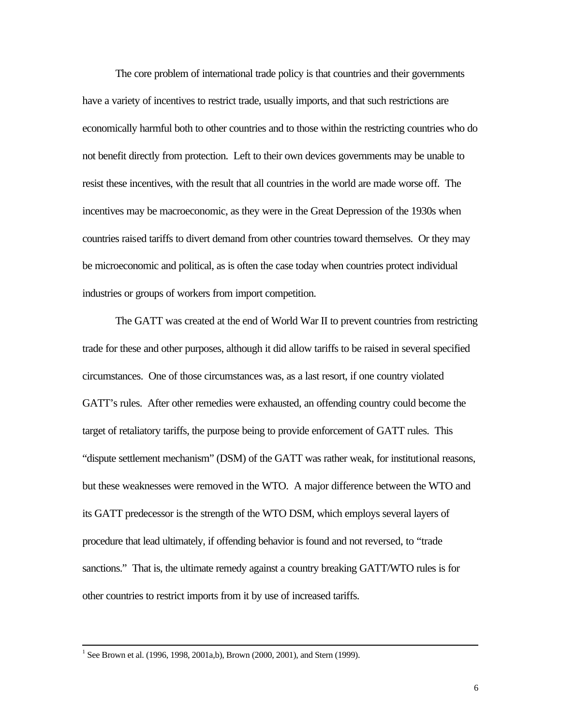The core problem of international trade policy is that countries and their governments have a variety of incentives to restrict trade, usually imports, and that such restrictions are economically harmful both to other countries and to those within the restricting countries who do not benefit directly from protection. Left to their own devices governments may be unable to resist these incentives, with the result that all countries in the world are made worse off. The incentives may be macroeconomic, as they were in the Great Depression of the 1930s when countries raised tariffs to divert demand from other countries toward themselves. Or they may be microeconomic and political, as is often the case today when countries protect individual industries or groups of workers from import competition.

The GATT was created at the end of World War II to prevent countries from restricting trade for these and other purposes, although it did allow tariffs to be raised in several specified circumstances. One of those circumstances was, as a last resort, if one country violated GATT's rules. After other remedies were exhausted, an offending country could become the target of retaliatory tariffs, the purpose being to provide enforcement of GATT rules. This "dispute settlement mechanism" (DSM) of the GATT was rather weak, for institutional reasons, but these weaknesses were removed in the WTO. A major difference between the WTO and its GATT predecessor is the strength of the WTO DSM, which employs several layers of procedure that lead ultimately, if offending behavior is found and not reversed, to "trade sanctions." That is, the ultimate remedy against a country breaking GATT/WTO rules is for other countries to restrict imports from it by use of increased tariffs.

<sup>&</sup>lt;sup>1</sup> See Brown et al. (1996, 1998, 2001a,b), Brown (2000, 2001), and Stern (1999).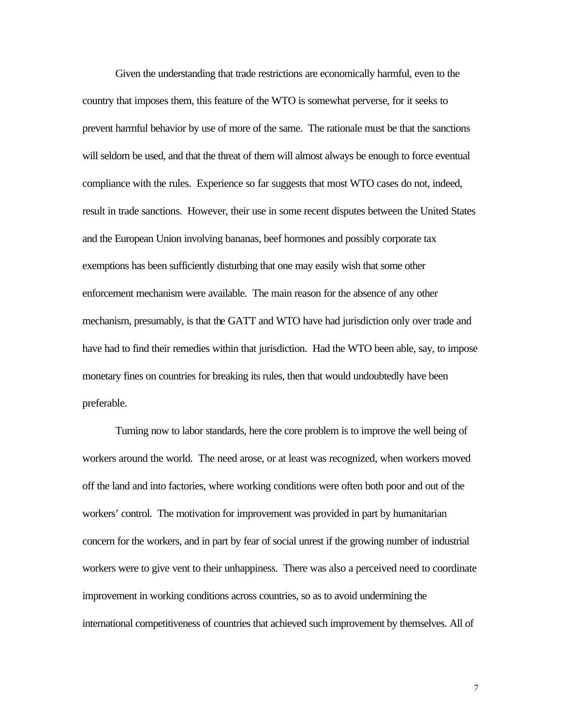Given the understanding that trade restrictions are economically harmful, even to the country that imposes them, this feature of the WTO is somewhat perverse, for it seeks to prevent harmful behavior by use of more of the same. The rationale must be that the sanctions will seldom be used, and that the threat of them will almost always be enough to force eventual compliance with the rules. Experience so far suggests that most WTO cases do not, indeed, result in trade sanctions. However, their use in some recent disputes between the United States and the European Union involving bananas, beef hormones and possibly corporate tax exemptions has been sufficiently disturbing that one may easily wish that some other enforcement mechanism were available. The main reason for the absence of any other mechanism, presumably, is that the GATT and WTO have had jurisdiction only over trade and have had to find their remedies within that jurisdiction. Had the WTO been able, say, to impose monetary fines on countries for breaking its rules, then that would undoubtedly have been preferable.

Turning now to labor standards, here the core problem is to improve the well being of workers around the world. The need arose, or at least was recognized, when workers moved off the land and into factories, where working conditions were often both poor and out of the workers' control. The motivation for improvement was provided in part by humanitarian concern for the workers, and in part by fear of social unrest if the growing number of industrial workers were to give vent to their unhappiness. There was also a perceived need to coordinate improvement in working conditions across countries, so as to avoid undermining the international competitiveness of countries that achieved such improvement by themselves. All of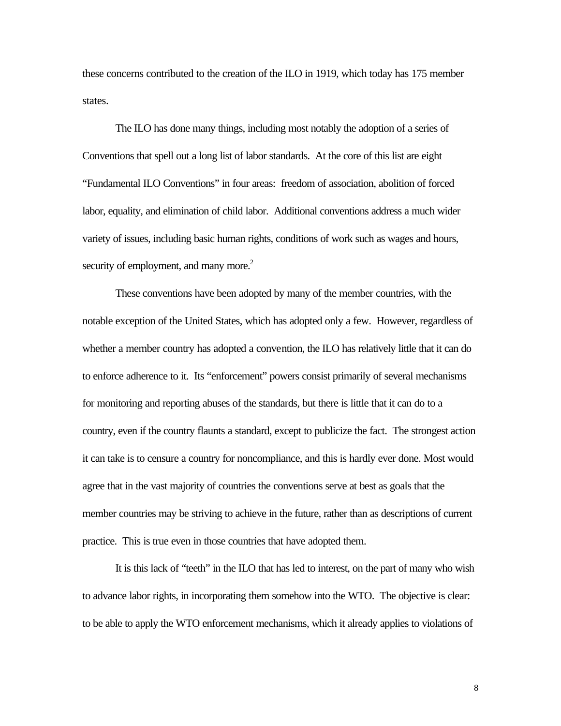these concerns contributed to the creation of the ILO in 1919, which today has 175 member states.

The ILO has done many things, including most notably the adoption of a series of Conventions that spell out a long list of labor standards. At the core of this list are eight "Fundamental ILO Conventions" in four areas: freedom of association, abolition of forced labor, equality, and elimination of child labor. Additional conventions address a much wider variety of issues, including basic human rights, conditions of work such as wages and hours, security of employment, and many more.<sup>2</sup>

These conventions have been adopted by many of the member countries, with the notable exception of the United States, which has adopted only a few. However, regardless of whether a member country has adopted a convention, the ILO has relatively little that it can do to enforce adherence to it. Its "enforcement" powers consist primarily of several mechanisms for monitoring and reporting abuses of the standards, but there is little that it can do to a country, even if the country flaunts a standard, except to publicize the fact. The strongest action it can take is to censure a country for noncompliance, and this is hardly ever done. Most would agree that in the vast majority of countries the conventions serve at best as goals that the member countries may be striving to achieve in the future, rather than as descriptions of current practice. This is true even in those countries that have adopted them.

It is this lack of "teeth" in the ILO that has led to interest, on the part of many who wish to advance labor rights, in incorporating them somehow into the WTO. The objective is clear: to be able to apply the WTO enforcement mechanisms, which it already applies to violations of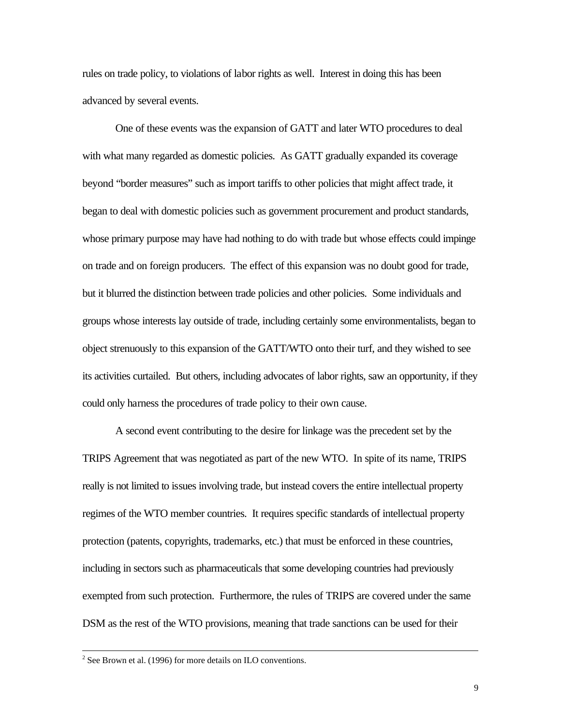rules on trade policy, to violations of labor rights as well. Interest in doing this has been advanced by several events.

One of these events was the expansion of GATT and later WTO procedures to deal with what many regarded as domestic policies. As GATT gradually expanded its coverage beyond "border measures" such as import tariffs to other policies that might affect trade, it began to deal with domestic policies such as government procurement and product standards, whose primary purpose may have had nothing to do with trade but whose effects could impinge on trade and on foreign producers. The effect of this expansion was no doubt good for trade, but it blurred the distinction between trade policies and other policies. Some individuals and groups whose interests lay outside of trade, including certainly some environmentalists, began to object strenuously to this expansion of the GATT/WTO onto their turf, and they wished to see its activities curtailed. But others, including advocates of labor rights, saw an opportunity, if they could only harness the procedures of trade policy to their own cause.

A second event contributing to the desire for linkage was the precedent set by the TRIPS Agreement that was negotiated as part of the new WTO. In spite of its name, TRIPS really is not limited to issues involving trade, but instead covers the entire intellectual property regimes of the WTO member countries. It requires specific standards of intellectual property protection (patents, copyrights, trademarks, etc.) that must be enforced in these countries, including in sectors such as pharmaceuticals that some developing countries had previously exempted from such protection. Furthermore, the rules of TRIPS are covered under the same DSM as the rest of the WTO provisions, meaning that trade sanctions can be used for their

 $2^{2}$  See Brown et al. (1996) for more details on ILO conventions.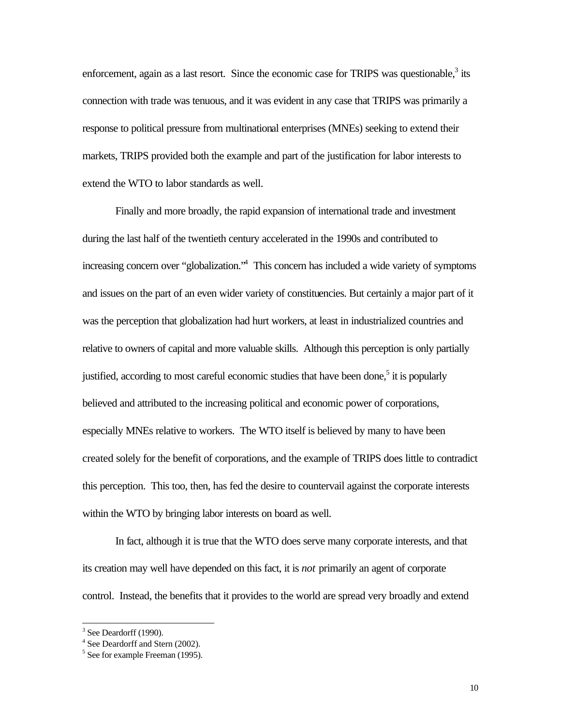enforcement, again as a last resort. Since the economic case for TRIPS was questionable, $3$  its connection with trade was tenuous, and it was evident in any case that TRIPS was primarily a response to political pressure from multinational enterprises (MNEs) seeking to extend their markets, TRIPS provided both the example and part of the justification for labor interests to extend the WTO to labor standards as well.

Finally and more broadly, the rapid expansion of international trade and investment during the last half of the twentieth century accelerated in the 1990s and contributed to increasing concern over "globalization."<sup>4</sup> This concern has included a wide variety of symptoms and issues on the part of an even wider variety of constituencies. But certainly a major part of it was the perception that globalization had hurt workers, at least in industrialized countries and relative to owners of capital and more valuable skills. Although this perception is only partially justified, according to most careful economic studies that have been done,<sup>5</sup> it is popularly believed and attributed to the increasing political and economic power of corporations, especially MNEs relative to workers. The WTO itself is believed by many to have been created solely for the benefit of corporations, and the example of TRIPS does little to contradict this perception. This too, then, has fed the desire to countervail against the corporate interests within the WTO by bringing labor interests on board as well.

In fact, although it is true that the WTO does serve many corporate interests, and that its creation may well have depended on this fact, it is *not* primarily an agent of corporate control. Instead, the benefits that it provides to the world are spread very broadly and extend

 $3$  See Deardorff (1990).

<sup>&</sup>lt;sup>4</sup> See Deardorff and Stern (2002).

<sup>&</sup>lt;sup>5</sup> See for example Freeman (1995).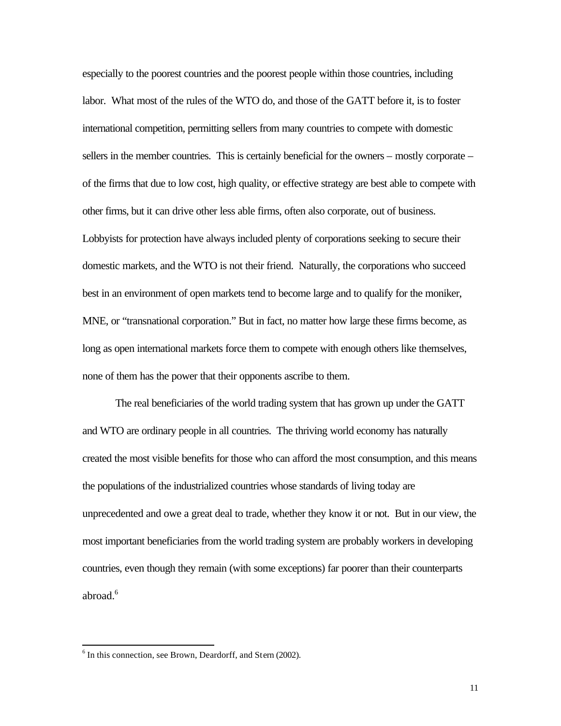especially to the poorest countries and the poorest people within those countries, including labor. What most of the rules of the WTO do, and those of the GATT before it, is to foster international competition, permitting sellers from many countries to compete with domestic sellers in the member countries. This is certainly beneficial for the owners – mostly corporate – of the firms that due to low cost, high quality, or effective strategy are best able to compete with other firms, but it can drive other less able firms, often also corporate, out of business. Lobbyists for protection have always included plenty of corporations seeking to secure their domestic markets, and the WTO is not their friend. Naturally, the corporations who succeed best in an environment of open markets tend to become large and to qualify for the moniker, MNE, or "transnational corporation." But in fact, no matter how large these firms become, as long as open international markets force them to compete with enough others like themselves, none of them has the power that their opponents ascribe to them.

The real beneficiaries of the world trading system that has grown up under the GATT and WTO are ordinary people in all countries. The thriving world economy has naturally created the most visible benefits for those who can afford the most consumption, and this means the populations of the industrialized countries whose standards of living today are unprecedented and owe a great deal to trade, whether they know it or not. But in our view, the most important beneficiaries from the world trading system are probably workers in developing countries, even though they remain (with some exceptions) far poorer than their counterparts abroad.<sup>6</sup>

<sup>&</sup>lt;sup>6</sup> In this connection, see Brown, Deardorff, and Stern (2002).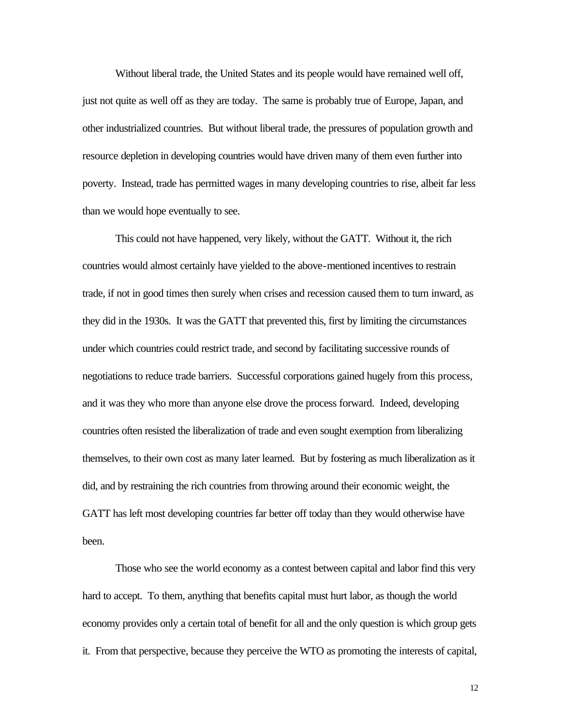Without liberal trade, the United States and its people would have remained well off, just not quite as well off as they are today. The same is probably true of Europe, Japan, and other industrialized countries. But without liberal trade, the pressures of population growth and resource depletion in developing countries would have driven many of them even further into poverty. Instead, trade has permitted wages in many developing countries to rise, albeit far less than we would hope eventually to see.

This could not have happened, very likely, without the GATT. Without it, the rich countries would almost certainly have yielded to the above-mentioned incentives to restrain trade, if not in good times then surely when crises and recession caused them to turn inward, as they did in the 1930s. It was the GATT that prevented this, first by limiting the circumstances under which countries could restrict trade, and second by facilitating successive rounds of negotiations to reduce trade barriers. Successful corporations gained hugely from this process, and it was they who more than anyone else drove the process forward. Indeed, developing countries often resisted the liberalization of trade and even sought exemption from liberalizing themselves, to their own cost as many later learned. But by fostering as much liberalization as it did, and by restraining the rich countries from throwing around their economic weight, the GATT has left most developing countries far better off today than they would otherwise have been.

Those who see the world economy as a contest between capital and labor find this very hard to accept. To them, anything that benefits capital must hurt labor, as though the world economy provides only a certain total of benefit for all and the only question is which group gets it. From that perspective, because they perceive the WTO as promoting the interests of capital,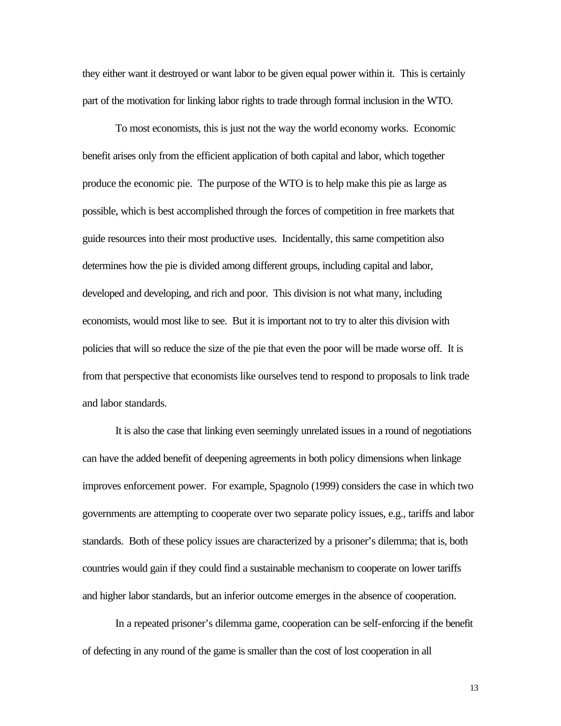they either want it destroyed or want labor to be given equal power within it. This is certainly part of the motivation for linking labor rights to trade through formal inclusion in the WTO.

To most economists, this is just not the way the world economy works. Economic benefit arises only from the efficient application of both capital and labor, which together produce the economic pie. The purpose of the WTO is to help make this pie as large as possible, which is best accomplished through the forces of competition in free markets that guide resources into their most productive uses. Incidentally, this same competition also determines how the pie is divided among different groups, including capital and labor, developed and developing, and rich and poor. This division is not what many, including economists, would most like to see. But it is important not to try to alter this division with policies that will so reduce the size of the pie that even the poor will be made worse off. It is from that perspective that economists like ourselves tend to respond to proposals to link trade and labor standards.

It is also the case that linking even seemingly unrelated issues in a round of negotiations can have the added benefit of deepening agreements in both policy dimensions when linkage improves enforcement power. For example, Spagnolo (1999) considers the case in which two governments are attempting to cooperate over two separate policy issues, e.g., tariffs and labor standards. Both of these policy issues are characterized by a prisoner's dilemma; that is, both countries would gain if they could find a sustainable mechanism to cooperate on lower tariffs and higher labor standards, but an inferior outcome emerges in the absence of cooperation.

In a repeated prisoner's dilemma game, cooperation can be self-enforcing if the benefit of defecting in any round of the game is smaller than the cost of lost cooperation in all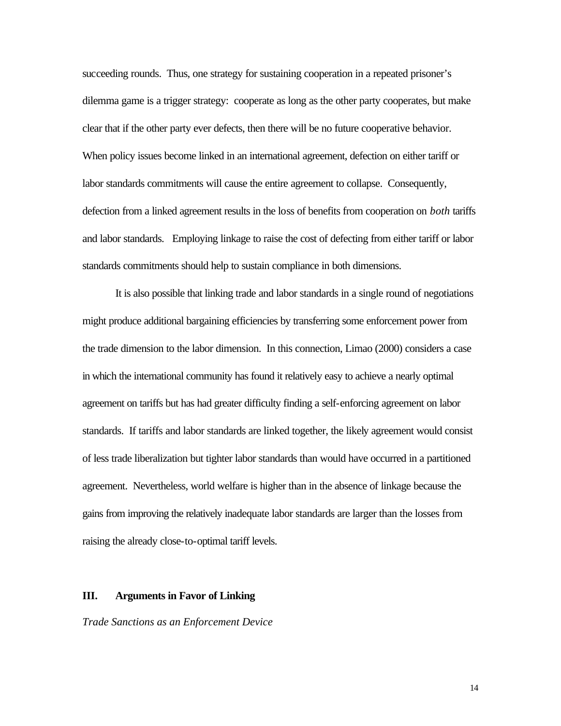succeeding rounds. Thus, one strategy for sustaining cooperation in a repeated prisoner's dilemma game is a trigger strategy: cooperate as long as the other party cooperates, but make clear that if the other party ever defects, then there will be no future cooperative behavior. When policy issues become linked in an international agreement, defection on either tariff or labor standards commitments will cause the entire agreement to collapse. Consequently, defection from a linked agreement results in the loss of benefits from cooperation on *both* tariffs and labor standards. Employing linkage to raise the cost of defecting from either tariff or labor standards commitments should help to sustain compliance in both dimensions.

It is also possible that linking trade and labor standards in a single round of negotiations might produce additional bargaining efficiencies by transferring some enforcement power from the trade dimension to the labor dimension. In this connection, Limao (2000) considers a case in which the international community has found it relatively easy to achieve a nearly optimal agreement on tariffs but has had greater difficulty finding a self-enforcing agreement on labor standards. If tariffs and labor standards are linked together, the likely agreement would consist of less trade liberalization but tighter labor standards than would have occurred in a partitioned agreement. Nevertheless, world welfare is higher than in the absence of linkage because the gains from improving the relatively inadequate labor standards are larger than the losses from raising the already close-to-optimal tariff levels.

#### **III. Arguments in Favor of Linking**

*Trade Sanctions as an Enforcement Device*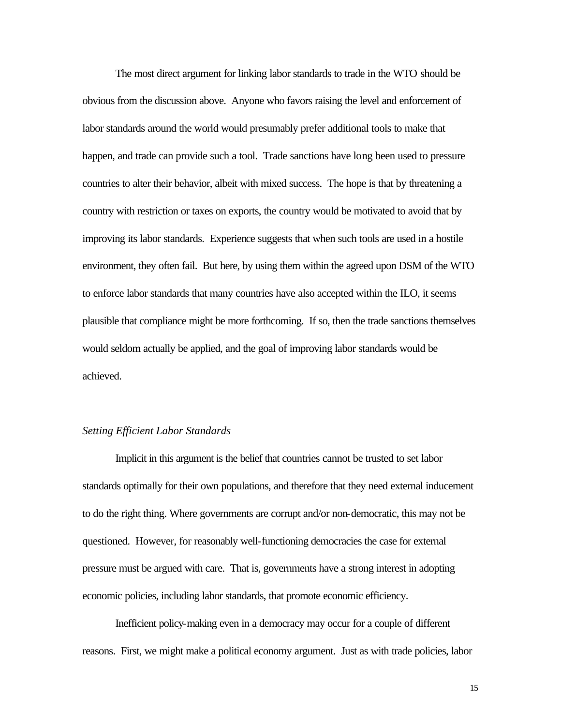The most direct argument for linking labor standards to trade in the WTO should be obvious from the discussion above. Anyone who favors raising the level and enforcement of labor standards around the world would presumably prefer additional tools to make that happen, and trade can provide such a tool. Trade sanctions have long been used to pressure countries to alter their behavior, albeit with mixed success. The hope is that by threatening a country with restriction or taxes on exports, the country would be motivated to avoid that by improving its labor standards. Experience suggests that when such tools are used in a hostile environment, they often fail. But here, by using them within the agreed upon DSM of the WTO to enforce labor standards that many countries have also accepted within the ILO, it seems plausible that compliance might be more forthcoming. If so, then the trade sanctions themselves would seldom actually be applied, and the goal of improving labor standards would be achieved.

## *Setting Efficient Labor Standards*

Implicit in this argument is the belief that countries cannot be trusted to set labor standards optimally for their own populations, and therefore that they need external inducement to do the right thing. Where governments are corrupt and/or non-democratic, this may not be questioned. However, for reasonably well-functioning democracies the case for external pressure must be argued with care. That is, governments have a strong interest in adopting economic policies, including labor standards, that promote economic efficiency.

Inefficient policy-making even in a democracy may occur for a couple of different reasons. First, we might make a political economy argument. Just as with trade policies, labor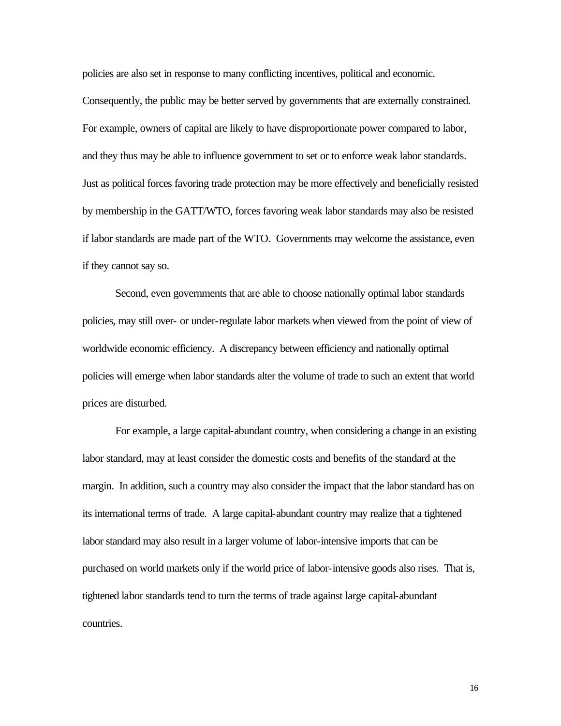policies are also set in response to many conflicting incentives, political and economic.

Consequently, the public may be better served by governments that are externally constrained. For example, owners of capital are likely to have disproportionate power compared to labor, and they thus may be able to influence government to set or to enforce weak labor standards. Just as political forces favoring trade protection may be more effectively and beneficially resisted by membership in the GATT/WTO, forces favoring weak labor standards may also be resisted if labor standards are made part of the WTO. Governments may welcome the assistance, even if they cannot say so.

Second, even governments that are able to choose nationally optimal labor standards policies, may still over- or under-regulate labor markets when viewed from the point of view of worldwide economic efficiency. A discrepancy between efficiency and nationally optimal policies will emerge when labor standards alter the volume of trade to such an extent that world prices are disturbed.

For example, a large capital-abundant country, when considering a change in an existing labor standard, may at least consider the domestic costs and benefits of the standard at the margin. In addition, such a country may also consider the impact that the labor standard has on its international terms of trade. A large capital-abundant country may realize that a tightened labor standard may also result in a larger volume of labor-intensive imports that can be purchased on world markets only if the world price of labor-intensive goods also rises. That is, tightened labor standards tend to turn the terms of trade against large capital-abundant countries.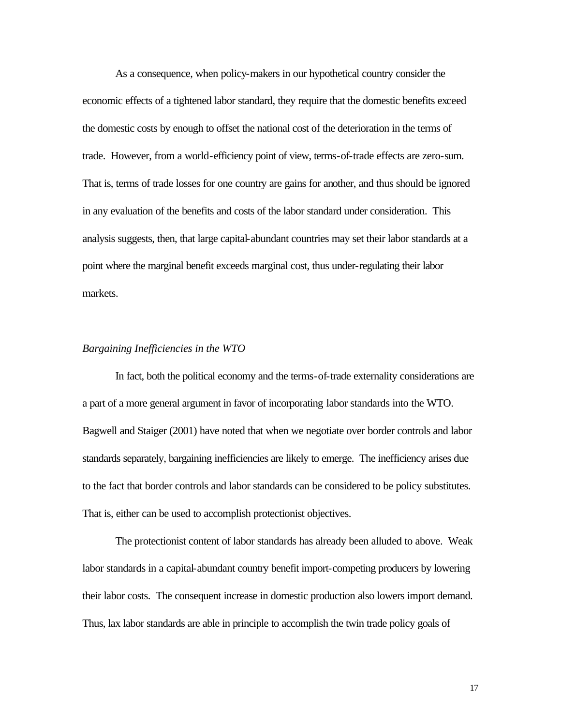As a consequence, when policy-makers in our hypothetical country consider the economic effects of a tightened labor standard, they require that the domestic benefits exceed the domestic costs by enough to offset the national cost of the deterioration in the terms of trade. However, from a world-efficiency point of view, terms-of-trade effects are zero-sum. That is, terms of trade losses for one country are gains for another, and thus should be ignored in any evaluation of the benefits and costs of the labor standard under consideration. This analysis suggests, then, that large capital-abundant countries may set their labor standards at a point where the marginal benefit exceeds marginal cost, thus under-regulating their labor markets.

#### *Bargaining Inefficiencies in the WTO*

In fact, both the political economy and the terms-of-trade externality considerations are a part of a more general argument in favor of incorporating labor standards into the WTO. Bagwell and Staiger (2001) have noted that when we negotiate over border controls and labor standards separately, bargaining inefficiencies are likely to emerge. The inefficiency arises due to the fact that border controls and labor standards can be considered to be policy substitutes. That is, either can be used to accomplish protectionist objectives.

The protectionist content of labor standards has already been alluded to above. Weak labor standards in a capital-abundant country benefit import-competing producers by lowering their labor costs. The consequent increase in domestic production also lowers import demand. Thus, lax labor standards are able in principle to accomplish the twin trade policy goals of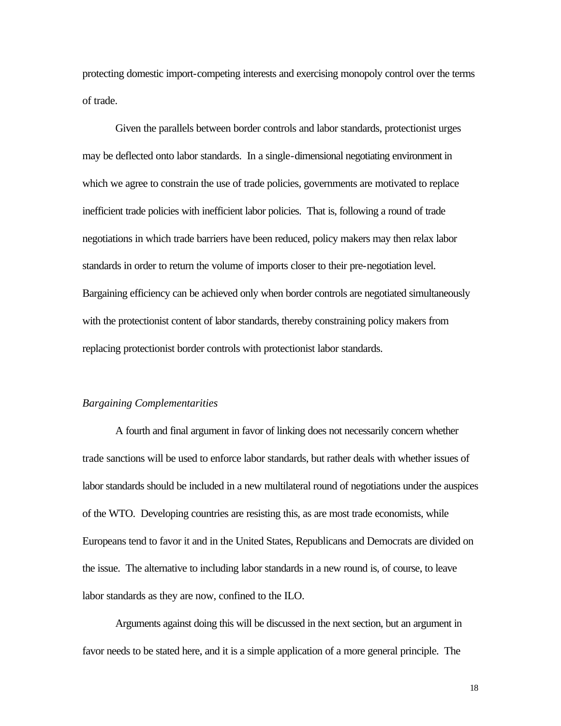protecting domestic import-competing interests and exercising monopoly control over the terms of trade.

Given the parallels between border controls and labor standards, protectionist urges may be deflected onto labor standards. In a single-dimensional negotiating environment in which we agree to constrain the use of trade policies, governments are motivated to replace inefficient trade policies with inefficient labor policies. That is, following a round of trade negotiations in which trade barriers have been reduced, policy makers may then relax labor standards in order to return the volume of imports closer to their pre-negotiation level. Bargaining efficiency can be achieved only when border controls are negotiated simultaneously with the protectionist content of labor standards, thereby constraining policy makers from replacing protectionist border controls with protectionist labor standards.

### *Bargaining Complementarities*

A fourth and final argument in favor of linking does not necessarily concern whether trade sanctions will be used to enforce labor standards, but rather deals with whether issues of labor standards should be included in a new multilateral round of negotiations under the auspices of the WTO. Developing countries are resisting this, as are most trade economists, while Europeans tend to favor it and in the United States, Republicans and Democrats are divided on the issue. The alternative to including labor standards in a new round is, of course, to leave labor standards as they are now, confined to the ILO.

Arguments against doing this will be discussed in the next section, but an argument in favor needs to be stated here, and it is a simple application of a more general principle. The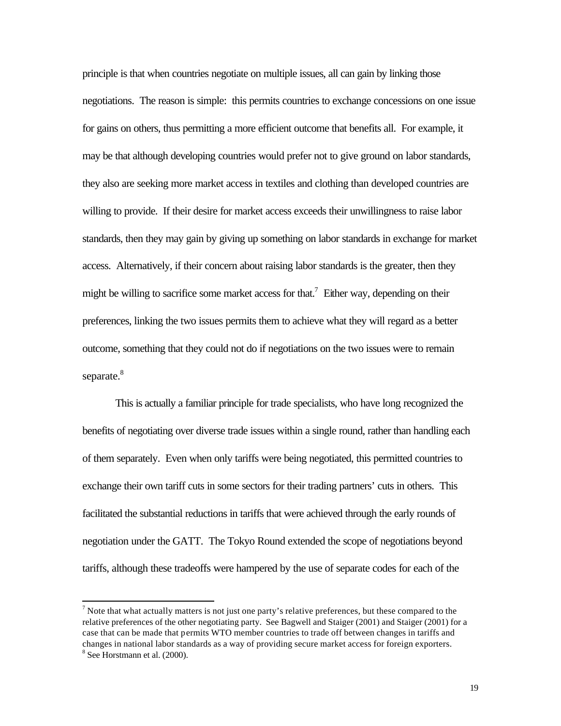principle is that when countries negotiate on multiple issues, all can gain by linking those negotiations. The reason is simple: this permits countries to exchange concessions on one issue for gains on others, thus permitting a more efficient outcome that benefits all. For example, it may be that although developing countries would prefer not to give ground on labor standards, they also are seeking more market access in textiles and clothing than developed countries are willing to provide. If their desire for market access exceeds their unwillingness to raise labor standards, then they may gain by giving up something on labor standards in exchange for market access. Alternatively, if their concern about raising labor standards is the greater, then they might be willing to sacrifice some market access for that.<sup>7</sup> Either way, depending on their preferences, linking the two issues permits them to achieve what they will regard as a better outcome, something that they could not do if negotiations on the two issues were to remain separate.<sup>8</sup>

This is actually a familiar principle for trade specialists, who have long recognized the benefits of negotiating over diverse trade issues within a single round, rather than handling each of them separately. Even when only tariffs were being negotiated, this permitted countries to exchange their own tariff cuts in some sectors for their trading partners' cuts in others. This facilitated the substantial reductions in tariffs that were achieved through the early rounds of negotiation under the GATT. The Tokyo Round extended the scope of negotiations beyond tariffs, although these tradeoffs were hampered by the use of separate codes for each of the

 $<sup>7</sup>$  Note that what actually matters is not just one party's relative preferences, but these compared to the</sup> relative preferences of the other negotiating party. See Bagwell and Staiger (2001) and Staiger (2001) for a case that can be made that permits WTO member countries to trade off between changes in tariffs and changes in national labor standards as a way of providing secure market access for foreign exporters. 8 See Horstmann et al. (2000).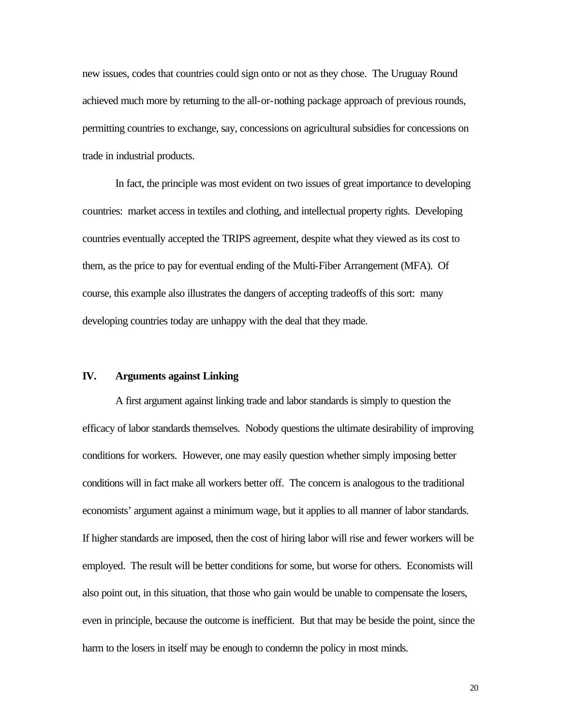new issues, codes that countries could sign onto or not as they chose. The Uruguay Round achieved much more by returning to the all-or-nothing package approach of previous rounds, permitting countries to exchange, say, concessions on agricultural subsidies for concessions on trade in industrial products.

In fact, the principle was most evident on two issues of great importance to developing countries: market access in textiles and clothing, and intellectual property rights. Developing countries eventually accepted the TRIPS agreement, despite what they viewed as its cost to them, as the price to pay for eventual ending of the Multi-Fiber Arrangement (MFA). Of course, this example also illustrates the dangers of accepting tradeoffs of this sort: many developing countries today are unhappy with the deal that they made.

#### **IV. Arguments against Linking**

A first argument against linking trade and labor standards is simply to question the efficacy of labor standards themselves. Nobody questions the ultimate desirability of improving conditions for workers. However, one may easily question whether simply imposing better conditions will in fact make all workers better off. The concern is analogous to the traditional economists' argument against a minimum wage, but it applies to all manner of labor standards. If higher standards are imposed, then the cost of hiring labor will rise and fewer workers will be employed. The result will be better conditions for some, but worse for others. Economists will also point out, in this situation, that those who gain would be unable to compensate the losers, even in principle, because the outcome is inefficient. But that may be beside the point, since the harm to the losers in itself may be enough to condemn the policy in most minds.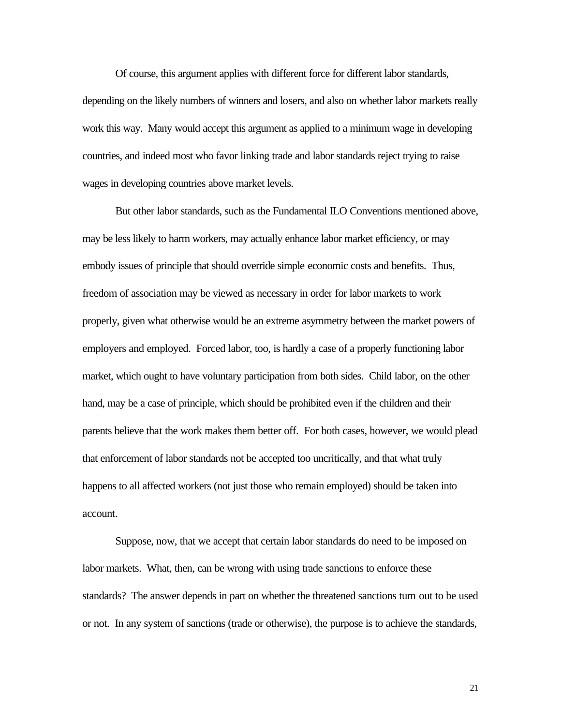Of course, this argument applies with different force for different labor standards, depending on the likely numbers of winners and losers, and also on whether labor markets really work this way. Many would accept this argument as applied to a minimum wage in developing countries, and indeed most who favor linking trade and labor standards reject trying to raise wages in developing countries above market levels.

But other labor standards, such as the Fundamental ILO Conventions mentioned above, may be less likely to harm workers, may actually enhance labor market efficiency, or may embody issues of principle that should override simple economic costs and benefits. Thus, freedom of association may be viewed as necessary in order for labor markets to work properly, given what otherwise would be an extreme asymmetry between the market powers of employers and employed. Forced labor, too, is hardly a case of a properly functioning labor market, which ought to have voluntary participation from both sides. Child labor, on the other hand, may be a case of principle, which should be prohibited even if the children and their parents believe that the work makes them better off. For both cases, however, we would plead that enforcement of labor standards not be accepted too uncritically, and that what truly happens to all affected workers (not just those who remain employed) should be taken into account.

Suppose, now, that we accept that certain labor standards do need to be imposed on labor markets. What, then, can be wrong with using trade sanctions to enforce these standards? The answer depends in part on whether the threatened sanctions turn out to be used or not. In any system of sanctions (trade or otherwise), the purpose is to achieve the standards,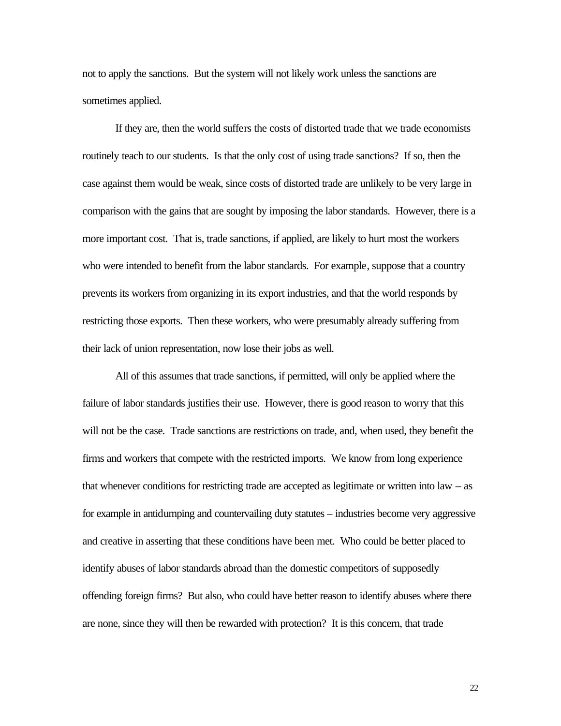not to apply the sanctions. But the system will not likely work unless the sanctions are sometimes applied.

If they are, then the world suffers the costs of distorted trade that we trade economists routinely teach to our students. Is that the only cost of using trade sanctions? If so, then the case against them would be weak, since costs of distorted trade are unlikely to be very large in comparison with the gains that are sought by imposing the labor standards. However, there is a more important cost. That is, trade sanctions, if applied, are likely to hurt most the workers who were intended to benefit from the labor standards. For example, suppose that a country prevents its workers from organizing in its export industries, and that the world responds by restricting those exports. Then these workers, who were presumably already suffering from their lack of union representation, now lose their jobs as well.

All of this assumes that trade sanctions, if permitted, will only be applied where the failure of labor standards justifies their use. However, there is good reason to worry that this will not be the case. Trade sanctions are restrictions on trade, and, when used, they benefit the firms and workers that compete with the restricted imports. We know from long experience that whenever conditions for restricting trade are accepted as legitimate or written into law – as for example in antidumping and countervailing duty statutes – industries become very aggressive and creative in asserting that these conditions have been met. Who could be better placed to identify abuses of labor standards abroad than the domestic competitors of supposedly offending foreign firms? But also, who could have better reason to identify abuses where there are none, since they will then be rewarded with protection? It is this concern, that trade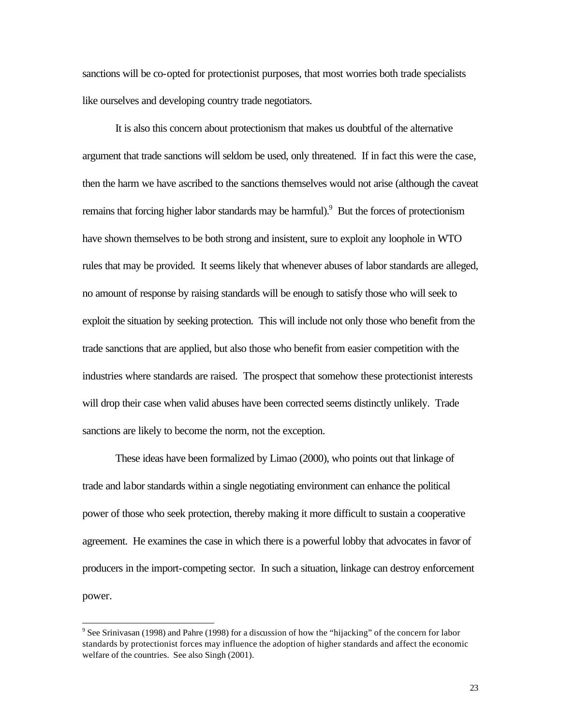sanctions will be co-opted for protectionist purposes, that most worries both trade specialists like ourselves and developing country trade negotiators.

It is also this concern about protectionism that makes us doubtful of the alternative argument that trade sanctions will seldom be used, only threatened. If in fact this were the case, then the harm we have ascribed to the sanctions themselves would not arise (although the caveat remains that forcing higher labor standards may be harmful). But the forces of protectionism have shown themselves to be both strong and insistent, sure to exploit any loophole in WTO rules that may be provided. It seems likely that whenever abuses of labor standards are alleged, no amount of response by raising standards will be enough to satisfy those who will seek to exploit the situation by seeking protection. This will include not only those who benefit from the trade sanctions that are applied, but also those who benefit from easier competition with the industries where standards are raised. The prospect that somehow these protectionist interests will drop their case when valid abuses have been corrected seems distinctly unlikely. Trade sanctions are likely to become the norm, not the exception.

These ideas have been formalized by Limao (2000), who points out that linkage of trade and labor standards within a single negotiating environment can enhance the political power of those who seek protection, thereby making it more difficult to sustain a cooperative agreement. He examines the case in which there is a powerful lobby that advocates in favor of producers in the import-competing sector. In such a situation, linkage can destroy enforcement power.

 $9^9$  See Srinivasan (1998) and Pahre (1998) for a discussion of how the "hijacking" of the concern for labor standards by protectionist forces may influence the adoption of higher standards and affect the economic welfare of the countries. See also Singh (2001).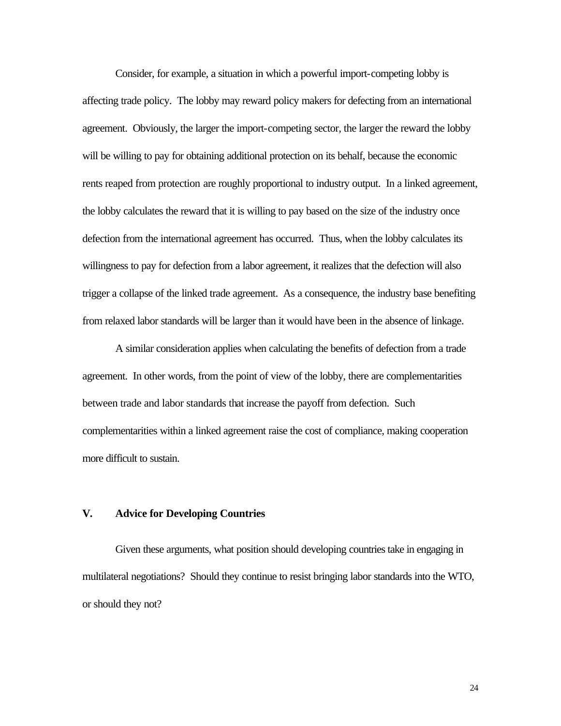Consider, for example, a situation in which a powerful import-competing lobby is affecting trade policy. The lobby may reward policy makers for defecting from an international agreement. Obviously, the larger the import-competing sector, the larger the reward the lobby will be willing to pay for obtaining additional protection on its behalf, because the economic rents reaped from protection are roughly proportional to industry output. In a linked agreement, the lobby calculates the reward that it is willing to pay based on the size of the industry once defection from the international agreement has occurred. Thus, when the lobby calculates its willingness to pay for defection from a labor agreement, it realizes that the defection will also trigger a collapse of the linked trade agreement. As a consequence, the industry base benefiting from relaxed labor standards will be larger than it would have been in the absence of linkage.

A similar consideration applies when calculating the benefits of defection from a trade agreement. In other words, from the point of view of the lobby, there are complementarities between trade and labor standards that increase the payoff from defection. Such complementarities within a linked agreement raise the cost of compliance, making cooperation more difficult to sustain.

### **V. Advice for Developing Countries**

Given these arguments, what position should developing countries take in engaging in multilateral negotiations? Should they continue to resist bringing labor standards into the WTO, or should they not?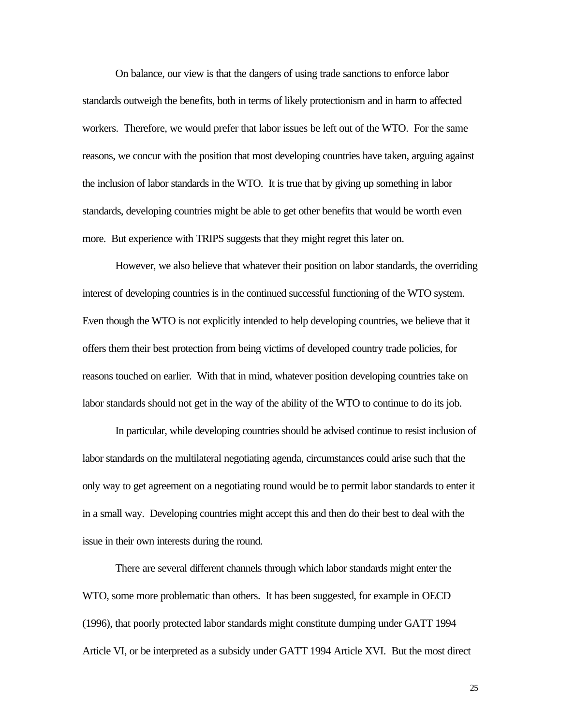On balance, our view is that the dangers of using trade sanctions to enforce labor standards outweigh the benefits, both in terms of likely protectionism and in harm to affected workers. Therefore, we would prefer that labor issues be left out of the WTO. For the same reasons, we concur with the position that most developing countries have taken, arguing against the inclusion of labor standards in the WTO. It is true that by giving up something in labor standards, developing countries might be able to get other benefits that would be worth even more. But experience with TRIPS suggests that they might regret this later on.

However, we also believe that whatever their position on labor standards, the overriding interest of developing countries is in the continued successful functioning of the WTO system. Even though the WTO is not explicitly intended to help developing countries, we believe that it offers them their best protection from being victims of developed country trade policies, for reasons touched on earlier. With that in mind, whatever position developing countries take on labor standards should not get in the way of the ability of the WTO to continue to do its job.

In particular, while developing countries should be advised continue to resist inclusion of labor standards on the multilateral negotiating agenda, circumstances could arise such that the only way to get agreement on a negotiating round would be to permit labor standards to enter it in a small way. Developing countries might accept this and then do their best to deal with the issue in their own interests during the round.

There are several different channels through which labor standards might enter the WTO, some more problematic than others. It has been suggested, for example in OECD (1996), that poorly protected labor standards might constitute dumping under GATT 1994 Article VI, or be interpreted as a subsidy under GATT 1994 Article XVI. But the most direct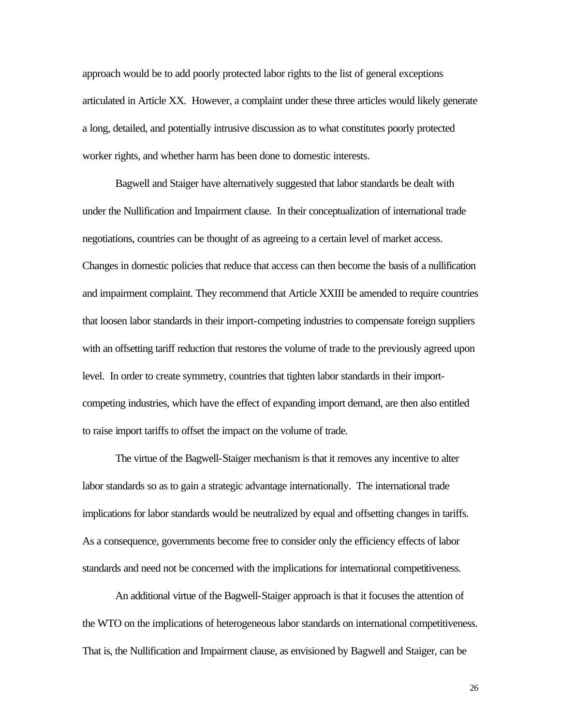approach would be to add poorly protected labor rights to the list of general exceptions articulated in Article XX. However, a complaint under these three articles would likely generate a long, detailed, and potentially intrusive discussion as to what constitutes poorly protected worker rights, and whether harm has been done to domestic interests.

Bagwell and Staiger have alternatively suggested that labor standards be dealt with under the Nullification and Impairment clause. In their conceptualization of international trade negotiations, countries can be thought of as agreeing to a certain level of market access. Changes in domestic policies that reduce that access can then become the basis of a nullification and impairment complaint. They recommend that Article XXIII be amended to require countries that loosen labor standards in their import-competing industries to compensate foreign suppliers with an offsetting tariff reduction that restores the volume of trade to the previously agreed upon level. In order to create symmetry, countries that tighten labor standards in their importcompeting industries, which have the effect of expanding import demand, are then also entitled to raise import tariffs to offset the impact on the volume of trade.

The virtue of the Bagwell-Staiger mechanism is that it removes any incentive to alter labor standards so as to gain a strategic advantage internationally. The international trade implications for labor standards would be neutralized by equal and offsetting changes in tariffs. As a consequence, governments become free to consider only the efficiency effects of labor standards and need not be concerned with the implications for international competitiveness.

An additional virtue of the Bagwell-Staiger approach is that it focuses the attention of the WTO on the implications of heterogeneous labor standards on international competitiveness. That is, the Nullification and Impairment clause, as envisioned by Bagwell and Staiger, can be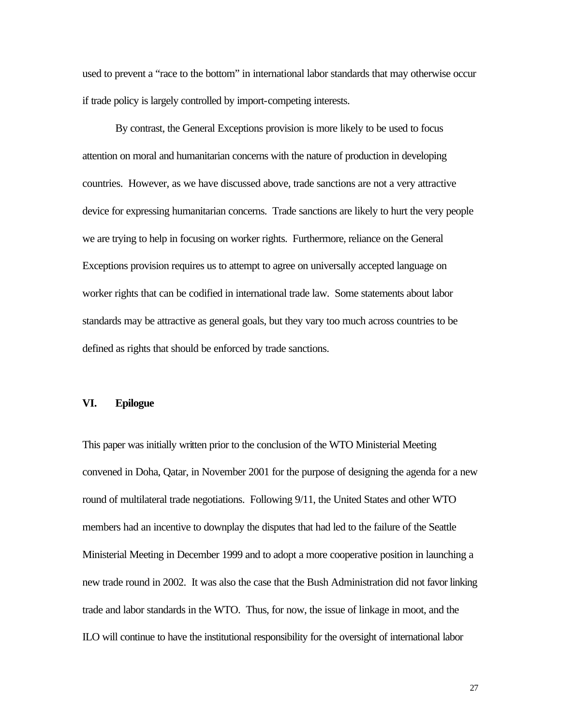used to prevent a "race to the bottom" in international labor standards that may otherwise occur if trade policy is largely controlled by import-competing interests.

By contrast, the General Exceptions provision is more likely to be used to focus attention on moral and humanitarian concerns with the nature of production in developing countries. However, as we have discussed above, trade sanctions are not a very attractive device for expressing humanitarian concerns. Trade sanctions are likely to hurt the very people we are trying to help in focusing on worker rights. Furthermore, reliance on the General Exceptions provision requires us to attempt to agree on universally accepted language on worker rights that can be codified in international trade law. Some statements about labor standards may be attractive as general goals, but they vary too much across countries to be defined as rights that should be enforced by trade sanctions.

#### **VI. Epilogue**

This paper was initially written prior to the conclusion of the WTO Ministerial Meeting convened in Doha, Qatar, in November 2001 for the purpose of designing the agenda for a new round of multilateral trade negotiations. Following 9/11, the United States and other WTO members had an incentive to downplay the disputes that had led to the failure of the Seattle Ministerial Meeting in December 1999 and to adopt a more cooperative position in launching a new trade round in 2002. It was also the case that the Bush Administration did not favor linking trade and labor standards in the WTO. Thus, for now, the issue of linkage in moot, and the ILO will continue to have the institutional responsibility for the oversight of international labor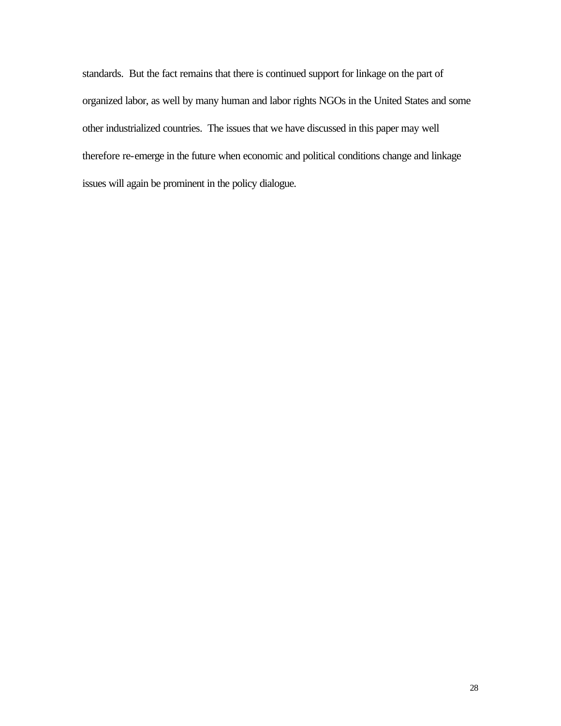standards. But the fact remains that there is continued support for linkage on the part of organized labor, as well by many human and labor rights NGOs in the United States and some other industrialized countries. The issues that we have discussed in this paper may well therefore re-emerge in the future when economic and political conditions change and linkage issues will again be prominent in the policy dialogue.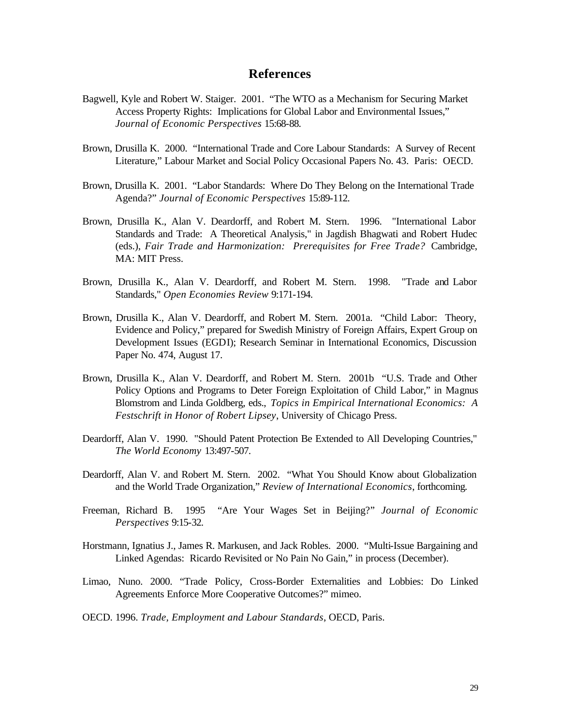## **References**

- Bagwell, Kyle and Robert W. Staiger. 2001. "The WTO as a Mechanism for Securing Market Access Property Rights: Implications for Global Labor and Environmental Issues," *Journal of Economic Perspectives* 15:68-88.
- Brown, Drusilla K. 2000. "International Trade and Core Labour Standards: A Survey of Recent Literature," Labour Market and Social Policy Occasional Papers No. 43. Paris: OECD.
- Brown, Drusilla K. 2001. "Labor Standards: Where Do They Belong on the International Trade Agenda?" *Journal of Economic Perspectives* 15:89-112.
- Brown, Drusilla K., Alan V. Deardorff, and Robert M. Stern. 1996. "International Labor Standards and Trade: A Theoretical Analysis," in Jagdish Bhagwati and Robert Hudec (eds.), *Fair Trade and Harmonization: Prerequisites for Free Trade?* Cambridge, MA: MIT Press.
- Brown, Drusilla K., Alan V. Deardorff, and Robert M. Stern. 1998. "Trade and Labor Standards," *Open Economies Review* 9:171-194.
- Brown, Drusilla K., Alan V. Deardorff, and Robert M. Stern. 2001a. "Child Labor: Theory, Evidence and Policy," prepared for Swedish Ministry of Foreign Affairs, Expert Group on Development Issues (EGDI); Research Seminar in International Economics, Discussion Paper No. 474, August 17.
- Brown, Drusilla K., Alan V. Deardorff, and Robert M. Stern. 2001b "U.S. Trade and Other Policy Options and Programs to Deter Foreign Exploitation of Child Labor," in Magnus Blomstrom and Linda Goldberg, eds., *Topics in Empirical International Economics: A Festschrift in Honor of Robert Lipsey*, University of Chicago Press.
- Deardorff, Alan V. 1990. "Should Patent Protection Be Extended to All Developing Countries," *The World Economy* 13:497-507.
- Deardorff, Alan V. and Robert M. Stern. 2002. "What You Should Know about Globalization and the World Trade Organization," *Review of International Economics*, forthcoming*.*
- Freeman, Richard B. 1995 "Are Your Wages Set in Beijing?" *Journal of Economic Perspectives* 9:15-32.
- Horstmann, Ignatius J., James R. Markusen, and Jack Robles. 2000. "Multi-Issue Bargaining and Linked Agendas: Ricardo Revisited or No Pain No Gain," in process (December).
- Limao, Nuno. 2000. "Trade Policy, Cross-Border Externalities and Lobbies: Do Linked Agreements Enforce More Cooperative Outcomes?" mimeo.
- OECD. 1996. *Trade, Employment and Labour Standards*, OECD, Paris.